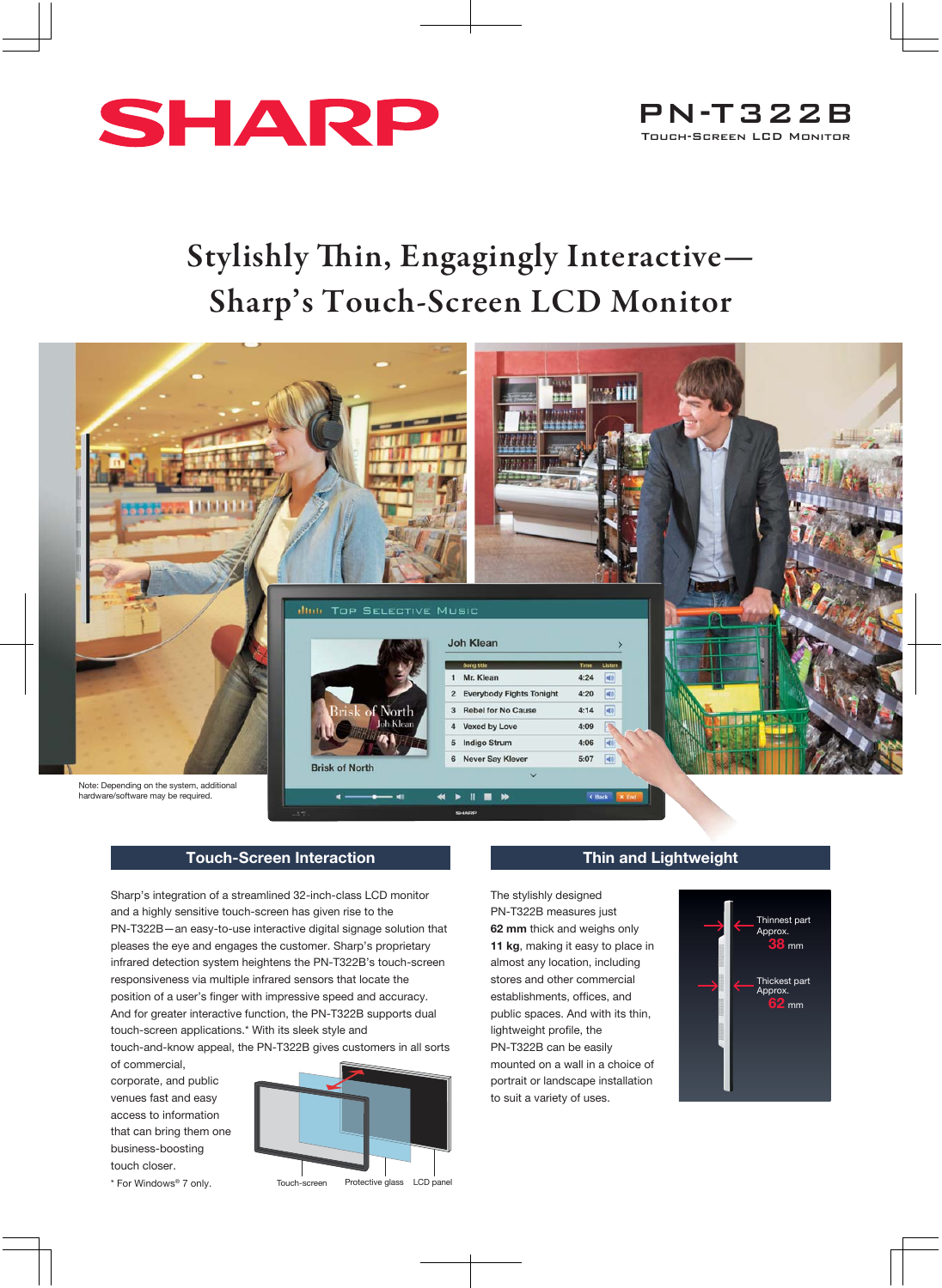



# Sham<sup>3</sup>: Tough Sereon I CD Monitor



# **Touch-Screen Interaction**

Sharp's integration of a streamlined 32-inch-class LCD monitor and a highly sensitive touch-screen has given rise to the PN-T322B—an easy-to-use interactive digital signage solution that pleases the eye and engages the customer. Sharp's proprietary infrared detection system heightens the PN-T322B's touch-screen responsiveness via multiple infrared sensors that locate the position of a user's finger with impressive speed and accuracy. And for greater interactive function, the PN-T322B supports dual touch-screen applications.\* With its sleek style and

touch-and-know appeal, the PN-T322B gives customers in all sorts of commercial,

corporate, and public venues fast and easy access to information that can bring them one business-boosting touch closer.



\* For Windows® 7 only.

Touch-screen Protective glass LCD panel

## **Thin and Lightweight**

The stylishly designed PN-T322B measures just **62 mm** thick and weighs only **11 kg**, making it easy to place in almost any location, including stores and other commercial establishments, offices, and public spaces. And with its thin, lightweight profile, the PN-T322B can be easily mounted on a wall in a choice of portrait or landscape installation to suit a variety of uses.